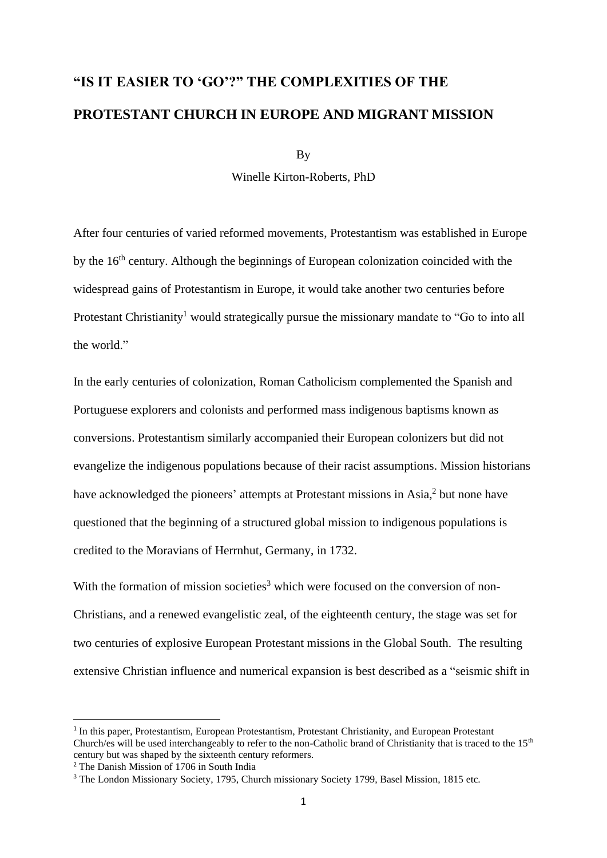# **"IS IT EASIER TO 'GO'?" THE COMPLEXITIES OF THE PROTESTANT CHURCH IN EUROPE AND MIGRANT MISSION**

By

Winelle Kirton-Roberts, PhD

After four centuries of varied reformed movements, Protestantism was established in Europe by the 16<sup>th</sup> century. Although the beginnings of European colonization coincided with the widespread gains of Protestantism in Europe, it would take another two centuries before Protestant Christianity<sup>1</sup> would strategically pursue the missionary mandate to "Go to into all the world."

In the early centuries of colonization, Roman Catholicism complemented the Spanish and Portuguese explorers and colonists and performed mass indigenous baptisms known as conversions. Protestantism similarly accompanied their European colonizers but did not evangelize the indigenous populations because of their racist assumptions. Mission historians have acknowledged the pioneers' attempts at Protestant missions in Asia,<sup>2</sup> but none have questioned that the beginning of a structured global mission to indigenous populations is credited to the Moravians of Herrnhut, Germany, in 1732.

With the formation of mission societies<sup>3</sup> which were focused on the conversion of non-Christians, and a renewed evangelistic zeal, of the eighteenth century, the stage was set for two centuries of explosive European Protestant missions in the Global South. The resulting extensive Christian influence and numerical expansion is best described as a "seismic shift in

<sup>&</sup>lt;sup>1</sup> In this paper, Protestantism, European Protestantism, Protestant Christianity, and European Protestant Church/es will be used interchangeably to refer to the non-Catholic brand of Christianity that is traced to the  $15<sup>th</sup>$ century but was shaped by the sixteenth century reformers.

<sup>&</sup>lt;sup>2</sup> The Danish Mission of 1706 in South India

<sup>&</sup>lt;sup>3</sup> The London Missionary Society, 1795, Church missionary Society 1799, Basel Mission, 1815 etc.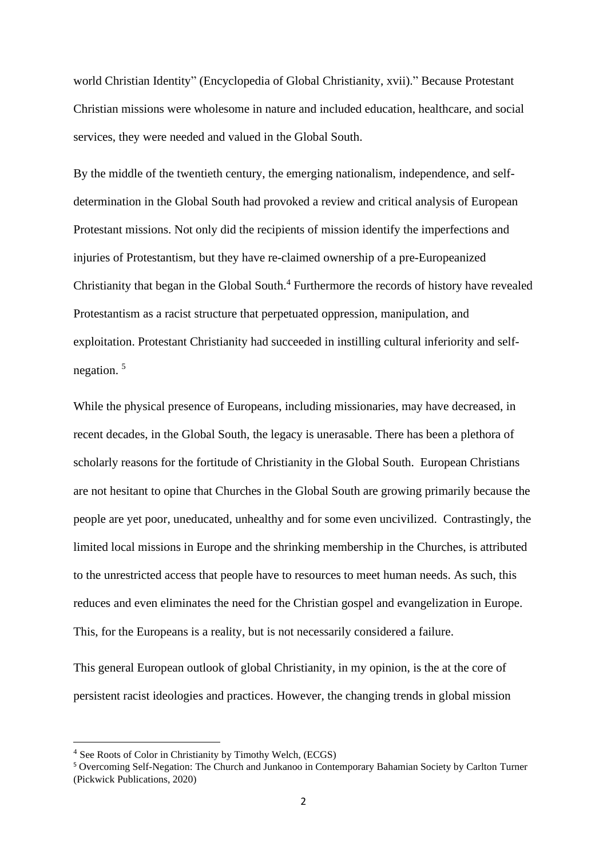world Christian Identity" (Encyclopedia of Global Christianity, xvii)." Because Protestant Christian missions were wholesome in nature and included education, healthcare, and social services, they were needed and valued in the Global South.

By the middle of the twentieth century, the emerging nationalism, independence, and selfdetermination in the Global South had provoked a review and critical analysis of European Protestant missions. Not only did the recipients of mission identify the imperfections and injuries of Protestantism, but they have re-claimed ownership of a pre-Europeanized Christianity that began in the Global South. <sup>4</sup> Furthermore the records of history have revealed Protestantism as a racist structure that perpetuated oppression, manipulation, and exploitation. Protestant Christianity had succeeded in instilling cultural inferiority and selfnegation. 5

While the physical presence of Europeans, including missionaries, may have decreased, in recent decades, in the Global South, the legacy is unerasable. There has been a plethora of scholarly reasons for the fortitude of Christianity in the Global South. European Christians are not hesitant to opine that Churches in the Global South are growing primarily because the people are yet poor, uneducated, unhealthy and for some even uncivilized. Contrastingly, the limited local missions in Europe and the shrinking membership in the Churches, is attributed to the unrestricted access that people have to resources to meet human needs. As such, this reduces and even eliminates the need for the Christian gospel and evangelization in Europe. This, for the Europeans is a reality, but is not necessarily considered a failure.

This general European outlook of global Christianity, in my opinion, is the at the core of persistent racist ideologies and practices. However, the changing trends in global mission

<sup>4</sup> See Roots of Color in Christianity by Timothy Welch, (ECGS)

<sup>5</sup> Overcoming Self-Negation: The Church and Junkanoo in Contemporary Bahamian Society by Carlton Turner (Pickwick Publications, 2020)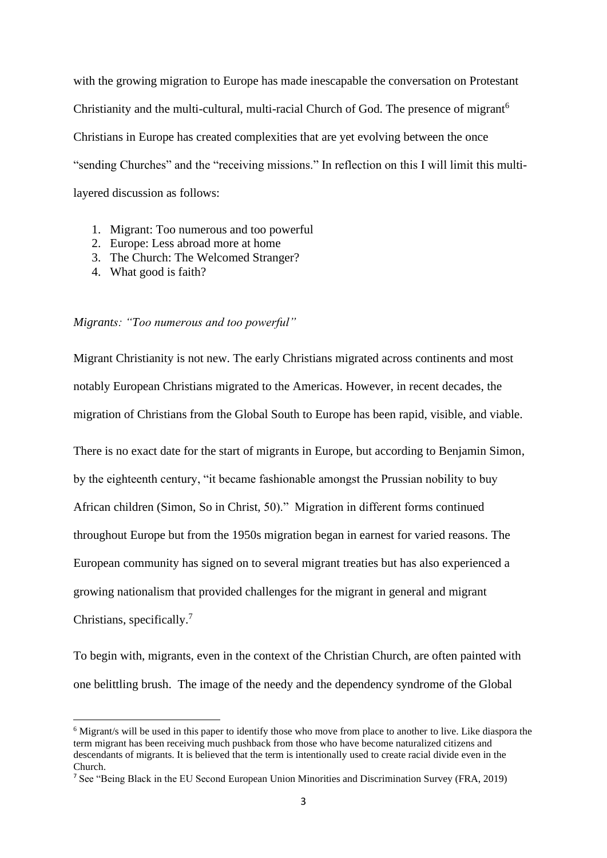with the growing migration to Europe has made inescapable the conversation on Protestant Christianity and the multi-cultural, multi-racial Church of God. The presence of migrant<sup>6</sup> Christians in Europe has created complexities that are yet evolving between the once "sending Churches" and the "receiving missions." In reflection on this I will limit this multilayered discussion as follows:

- 1. Migrant: Too numerous and too powerful
- 2. Europe: Less abroad more at home
- 3. The Church: The Welcomed Stranger?
- 4. What good is faith?

#### *Migrants: "Too numerous and too powerful"*

Migrant Christianity is not new. The early Christians migrated across continents and most notably European Christians migrated to the Americas. However, in recent decades, the migration of Christians from the Global South to Europe has been rapid, visible, and viable.

There is no exact date for the start of migrants in Europe, but according to Benjamin Simon, by the eighteenth century, "it became fashionable amongst the Prussian nobility to buy African children (Simon, So in Christ, 50)." Migration in different forms continued throughout Europe but from the 1950s migration began in earnest for varied reasons. The European community has signed on to several migrant treaties but has also experienced a growing nationalism that provided challenges for the migrant in general and migrant Christians, specifically.<sup>7</sup>

To begin with, migrants, even in the context of the Christian Church, are often painted with one belittling brush. The image of the needy and the dependency syndrome of the Global

<sup>6</sup> Migrant/s will be used in this paper to identify those who move from place to another to live. Like diaspora the term migrant has been receiving much pushback from those who have become naturalized citizens and descendants of migrants. It is believed that the term is intentionally used to create racial divide even in the Church.

<sup>7</sup> See "Being Black in the EU Second European Union Minorities and Discrimination Survey (FRA, 2019)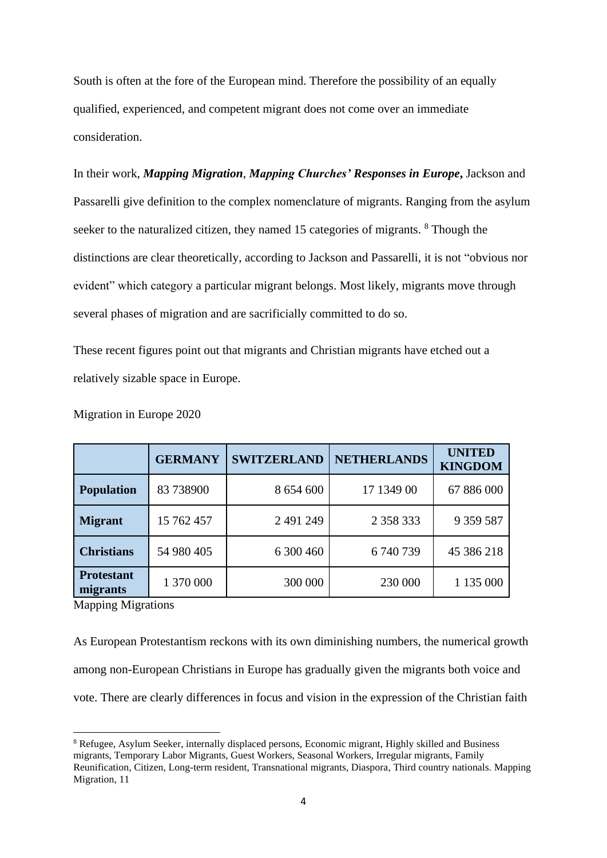South is often at the fore of the European mind. Therefore the possibility of an equally qualified, experienced, and competent migrant does not come over an immediate consideration.

In their work, *Mapping Migration*, *Mapping Churches' Responses in Europe***,** Jackson and Passarelli give definition to the complex nomenclature of migrants. Ranging from the asylum seeker to the naturalized citizen, they named 15 categories of migrants. <sup>8</sup> Though the distinctions are clear theoretically, according to Jackson and Passarelli, it is not "obvious nor evident" which category a particular migrant belongs. Most likely, migrants move through several phases of migration and are sacrificially committed to do so.

These recent figures point out that migrants and Christian migrants have etched out a relatively sizable space in Europe.

|                               | <b>GERMANY</b> | <b>SWITZERLAND</b> | <b>NETHERLANDS</b> | <b>UNITED</b><br><b>KINGDOM</b> |
|-------------------------------|----------------|--------------------|--------------------|---------------------------------|
| <b>Population</b>             | 83 73 8900     | 8 654 600          | 17 1349 00         | 67 886 000                      |
| <b>Migrant</b>                | 15 762 457     | 2 491 249          | 2 3 5 8 3 3 3 3    | 9 359 587                       |
| <b>Christians</b>             | 54 980 405     | 6 300 460          | 6740739            | 45 386 218                      |
| <b>Protestant</b><br>migrants | 1 370 000      | 300 000            | 230 000            | 1 135 000                       |

Migration in Europe 2020

Mapping Migrations

As European Protestantism reckons with its own diminishing numbers, the numerical growth among non-European Christians in Europe has gradually given the migrants both voice and vote. There are clearly differences in focus and vision in the expression of the Christian faith

<sup>8</sup> Refugee, Asylum Seeker, internally displaced persons, Economic migrant, Highly skilled and Business migrants, Temporary Labor Migrants, Guest Workers, Seasonal Workers, Irregular migrants, Family Reunification, Citizen, Long-term resident, Transnational migrants, Diaspora, Third country nationals. Mapping Migration, 11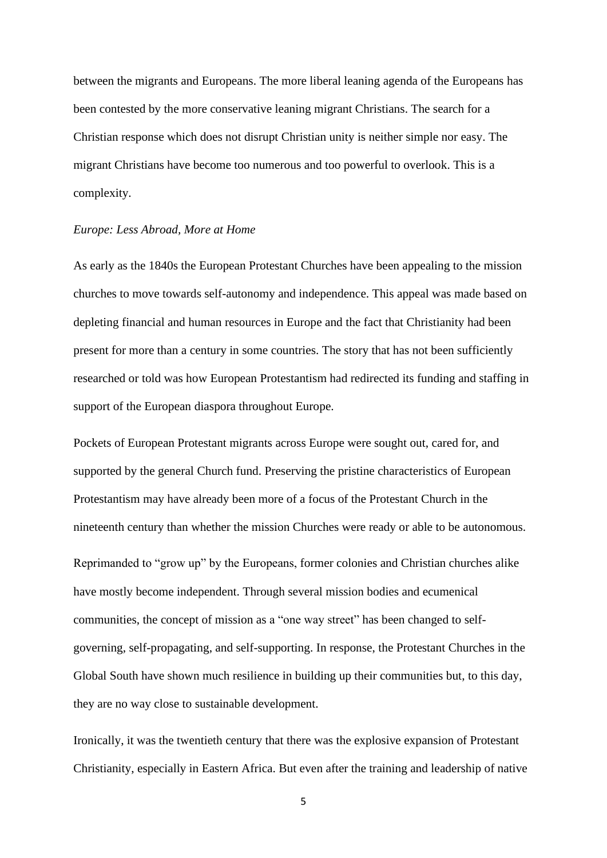between the migrants and Europeans. The more liberal leaning agenda of the Europeans has been contested by the more conservative leaning migrant Christians. The search for a Christian response which does not disrupt Christian unity is neither simple nor easy. The migrant Christians have become too numerous and too powerful to overlook. This is a complexity.

#### *Europe: Less Abroad, More at Home*

As early as the 1840s the European Protestant Churches have been appealing to the mission churches to move towards self-autonomy and independence. This appeal was made based on depleting financial and human resources in Europe and the fact that Christianity had been present for more than a century in some countries. The story that has not been sufficiently researched or told was how European Protestantism had redirected its funding and staffing in support of the European diaspora throughout Europe.

Pockets of European Protestant migrants across Europe were sought out, cared for, and supported by the general Church fund. Preserving the pristine characteristics of European Protestantism may have already been more of a focus of the Protestant Church in the nineteenth century than whether the mission Churches were ready or able to be autonomous.

Reprimanded to "grow up" by the Europeans, former colonies and Christian churches alike have mostly become independent. Through several mission bodies and ecumenical communities, the concept of mission as a "one way street" has been changed to selfgoverning, self-propagating, and self-supporting. In response, the Protestant Churches in the Global South have shown much resilience in building up their communities but, to this day, they are no way close to sustainable development.

Ironically, it was the twentieth century that there was the explosive expansion of Protestant Christianity, especially in Eastern Africa. But even after the training and leadership of native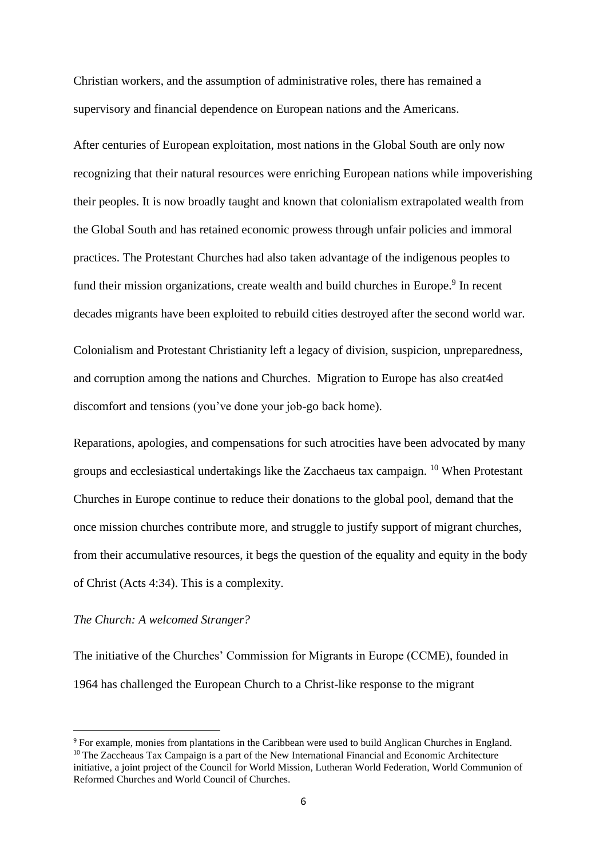Christian workers, and the assumption of administrative roles, there has remained a supervisory and financial dependence on European nations and the Americans.

After centuries of European exploitation, most nations in the Global South are only now recognizing that their natural resources were enriching European nations while impoverishing their peoples. It is now broadly taught and known that colonialism extrapolated wealth from the Global South and has retained economic prowess through unfair policies and immoral practices. The Protestant Churches had also taken advantage of the indigenous peoples to fund their mission organizations, create wealth and build churches in Europe.<sup>9</sup> In recent decades migrants have been exploited to rebuild cities destroyed after the second world war.

Colonialism and Protestant Christianity left a legacy of division, suspicion, unpreparedness, and corruption among the nations and Churches. Migration to Europe has also creat4ed discomfort and tensions (you've done your job-go back home).

Reparations, apologies, and compensations for such atrocities have been advocated by many groups and ecclesiastical undertakings like the Zacchaeus tax campaign. <sup>10</sup> When Protestant Churches in Europe continue to reduce their donations to the global pool, demand that the once mission churches contribute more, and struggle to justify support of migrant churches, from their accumulative resources, it begs the question of the equality and equity in the body of Christ (Acts 4:34). This is a complexity.

# *The Church: A welcomed Stranger?*

The initiative of the Churches' Commission for Migrants in Europe (CCME), founded in 1964 has challenged the European Church to a Christ-like response to the migrant

<sup>9</sup> For example, monies from plantations in the Caribbean were used to build Anglican Churches in England. <sup>10</sup> The Zaccheaus Tax Campaign is a part of the New International Financial and Economic Architecture initiative, a joint project of the Council for World Mission, Lutheran World Federation, World Communion of Reformed Churches and World Council of Churches.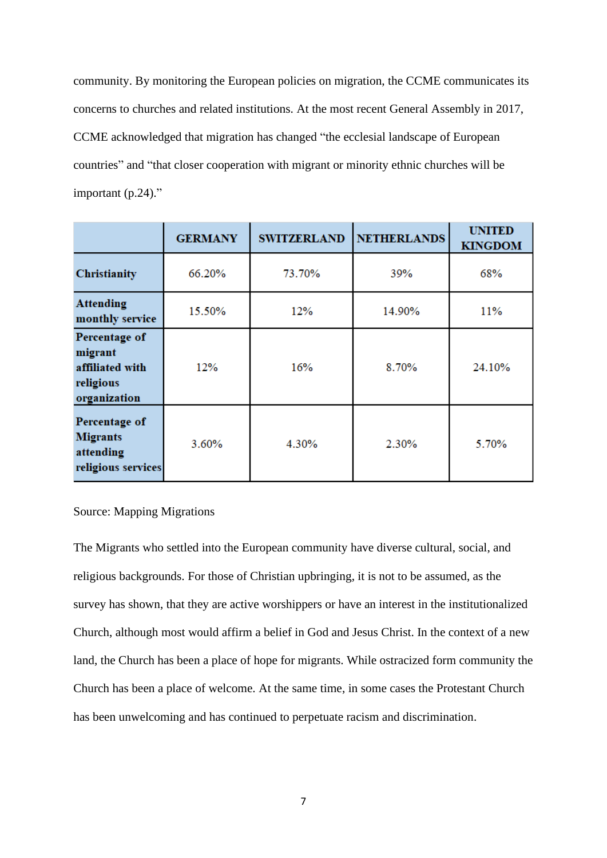community. By monitoring the European policies on migration, the CCME communicates its concerns to churches and related institutions. At the most recent General Assembly in 2017, CCME acknowledged that migration has changed "the ecclesial landscape of European countries" and "that closer cooperation with migrant or minority ethnic churches will be important (p.24)."

|                                                                          | <b>GERMANY</b> | <b>SWITZERLAND</b> | <b>NETHERLANDS</b> | <b>UNITED</b><br><b>KINGDOM</b> |
|--------------------------------------------------------------------------|----------------|--------------------|--------------------|---------------------------------|
| <b>Christianity</b>                                                      | 66.20%         | 73.70%             | 39%                | 68%                             |
| <b>Attending</b><br>monthly service                                      | 15.50%         | 12%                | 14.90%             | 11%                             |
| Percentage of<br>migrant<br>affiliated with<br>religious<br>organization | 12%            | 16%                | 8.70%              | 24.10%                          |
| Percentage of<br><b>Migrants</b><br>attending<br>religious services      | 3.60%          | 4.30%              | 2.30%              | 5.70%                           |

### Source: Mapping Migrations

The Migrants who settled into the European community have diverse cultural, social, and religious backgrounds. For those of Christian upbringing, it is not to be assumed, as the survey has shown, that they are active worshippers or have an interest in the institutionalized Church, although most would affirm a belief in God and Jesus Christ. In the context of a new land, the Church has been a place of hope for migrants. While ostracized form community the Church has been a place of welcome. At the same time, in some cases the Protestant Church has been unwelcoming and has continued to perpetuate racism and discrimination.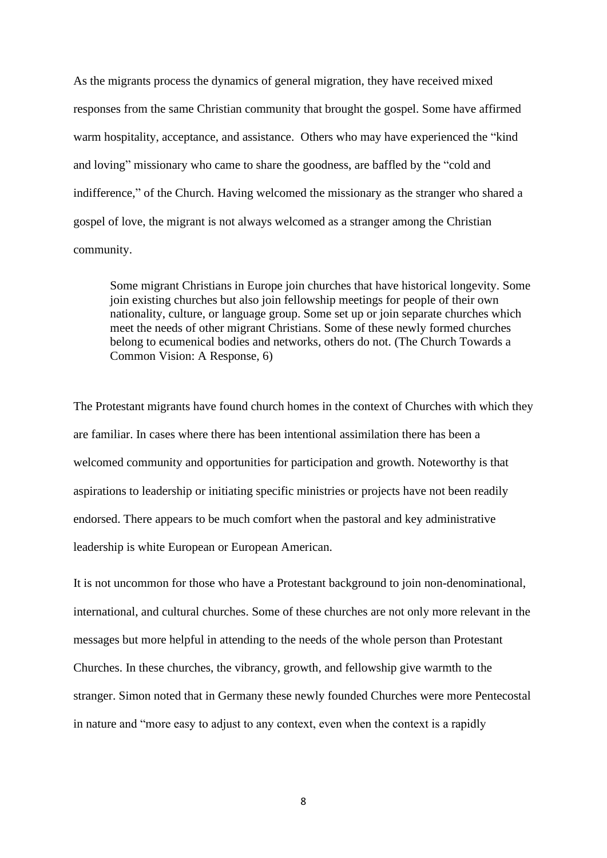As the migrants process the dynamics of general migration, they have received mixed responses from the same Christian community that brought the gospel. Some have affirmed warm hospitality, acceptance, and assistance. Others who may have experienced the "kind and loving" missionary who came to share the goodness, are baffled by the "cold and indifference," of the Church. Having welcomed the missionary as the stranger who shared a gospel of love, the migrant is not always welcomed as a stranger among the Christian community.

Some migrant Christians in Europe join churches that have historical longevity. Some join existing churches but also join fellowship meetings for people of their own nationality, culture, or language group. Some set up or join separate churches which meet the needs of other migrant Christians. Some of these newly formed churches belong to ecumenical bodies and networks, others do not. (The Church Towards a Common Vision: A Response, 6)

The Protestant migrants have found church homes in the context of Churches with which they are familiar. In cases where there has been intentional assimilation there has been a welcomed community and opportunities for participation and growth. Noteworthy is that aspirations to leadership or initiating specific ministries or projects have not been readily endorsed. There appears to be much comfort when the pastoral and key administrative leadership is white European or European American.

It is not uncommon for those who have a Protestant background to join non-denominational, international, and cultural churches. Some of these churches are not only more relevant in the messages but more helpful in attending to the needs of the whole person than Protestant Churches. In these churches, the vibrancy, growth, and fellowship give warmth to the stranger. Simon noted that in Germany these newly founded Churches were more Pentecostal in nature and "more easy to adjust to any context, even when the context is a rapidly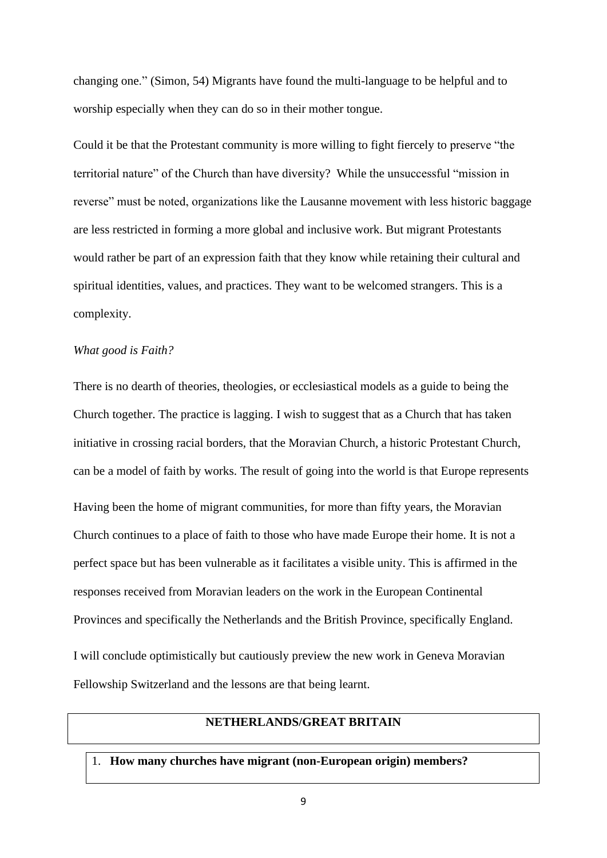changing one." (Simon, 54) Migrants have found the multi-language to be helpful and to worship especially when they can do so in their mother tongue.

Could it be that the Protestant community is more willing to fight fiercely to preserve "the territorial nature" of the Church than have diversity? While the unsuccessful "mission in reverse" must be noted, organizations like the Lausanne movement with less historic baggage are less restricted in forming a more global and inclusive work. But migrant Protestants would rather be part of an expression faith that they know while retaining their cultural and spiritual identities, values, and practices. They want to be welcomed strangers. This is a complexity.

### *What good is Faith?*

There is no dearth of theories, theologies, or ecclesiastical models as a guide to being the Church together. The practice is lagging. I wish to suggest that as a Church that has taken initiative in crossing racial borders, that the Moravian Church, a historic Protestant Church, can be a model of faith by works. The result of going into the world is that Europe represents Having been the home of migrant communities, for more than fifty years, the Moravian Church continues to a place of faith to those who have made Europe their home. It is not a perfect space but has been vulnerable as it facilitates a visible unity. This is affirmed in the responses received from Moravian leaders on the work in the European Continental Provinces and specifically the Netherlands and the British Province, specifically England. I will conclude optimistically but cautiously preview the new work in Geneva Moravian Fellowship Switzerland and the lessons are that being learnt.

## **NETHERLANDS/GREAT BRITAIN**

1. **How many churches have migrant (non-European origin) members?**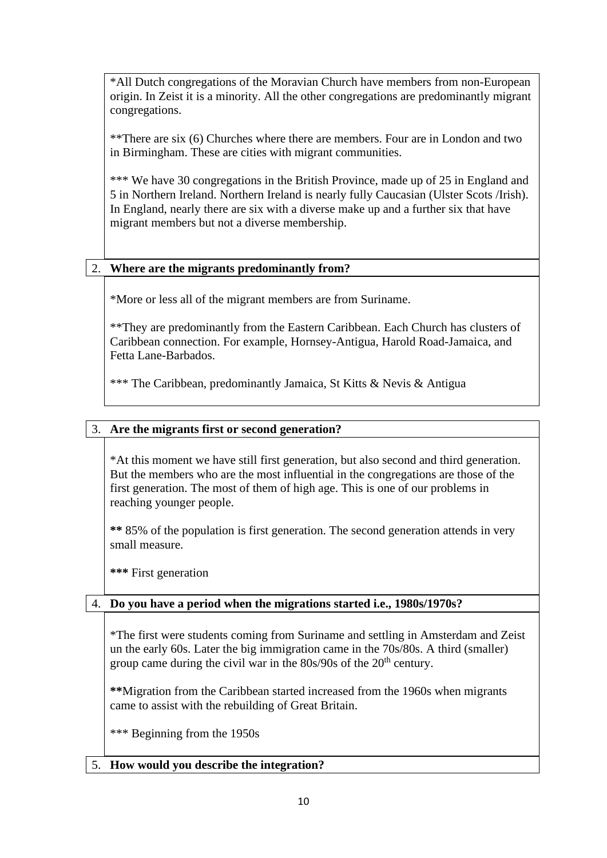\*All Dutch congregations of the Moravian Church have members from non-European origin. In Zeist it is a minority. All the other congregations are predominantly migrant congregations.

\*\*There are six (6) Churches where there are members. Four are in London and two in Birmingham. These are cities with migrant communities.

\*\*\* We have 30 congregations in the British Province, made up of 25 in England and 5 in Northern Ireland. Northern Ireland is nearly fully Caucasian (Ulster Scots /Irish). In England, nearly there are six with a diverse make up and a further six that have migrant members but not a diverse membership.

# 2. **Where are the migrants predominantly from?**

\*More or less all of the migrant members are from Suriname.

\*\*They are predominantly from the Eastern Caribbean. Each Church has clusters of Caribbean connection. For example, Hornsey-Antigua, Harold Road-Jamaica, and Fetta Lane-Barbados.

\*\*\* The Caribbean, predominantly Jamaica, St Kitts & Nevis & Antigua

# 3. **Are the migrants first or second generation?**

\*At this moment we have still first generation, but also second and third generation. But the members who are the most influential in the congregations are those of the first generation. The most of them of high age. This is one of our problems in reaching younger people.

**\*\*** 85% of the population is first generation. The second generation attends in very small measure.

**\*\*\*** First generation

# 4. **Do you have a period when the migrations started i.e., 1980s/1970s?**

\*The first were students coming from Suriname and settling in Amsterdam and Zeist un the early 60s. Later the big immigration came in the 70s/80s. A third (smaller) group came during the civil war in the  $80s/90s$  of the  $20<sup>th</sup>$  century.

**\*\***Migration from the Caribbean started increased from the 1960s when migrants came to assist with the rebuilding of Great Britain.

\*\*\* Beginning from the 1950s

# 5. **How would you describe the integration?**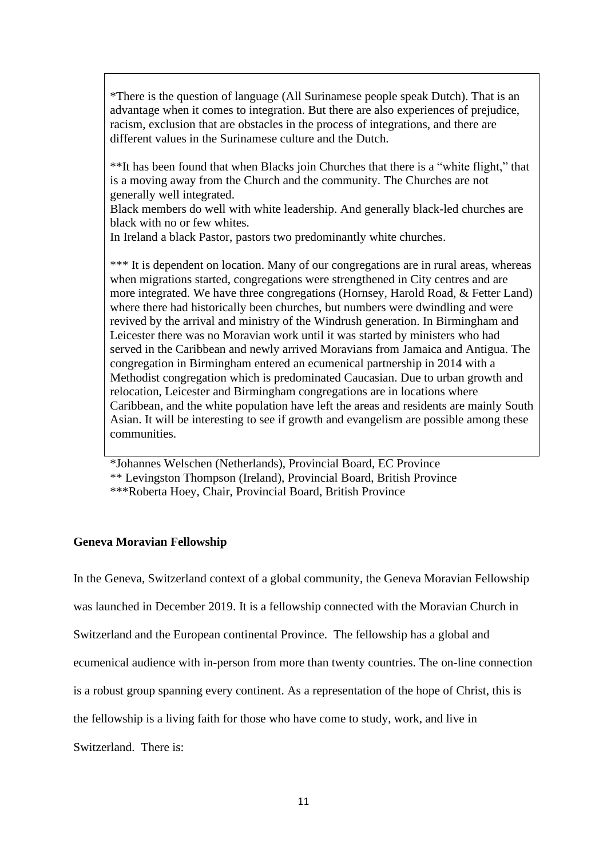\*There is the question of language (All Surinamese people speak Dutch). That is an advantage when it comes to integration. But there are also experiences of prejudice, racism, exclusion that are obstacles in the process of integrations, and there are different values in the Surinamese culture and the Dutch.

\*\*It has been found that when Blacks join Churches that there is a "white flight," that is a moving away from the Church and the community. The Churches are not generally well integrated.

Black members do well with white leadership. And generally black-led churches are black with no or few whites.

In Ireland a black Pastor, pastors two predominantly white churches.

\*\*\* It is dependent on location. Many of our congregations are in rural areas, whereas when migrations started, congregations were strengthened in City centres and are more integrated. We have three congregations (Hornsey, Harold Road, & Fetter Land) where there had historically been churches, but numbers were dwindling and were revived by the arrival and ministry of the Windrush generation. In Birmingham and Leicester there was no Moravian work until it was started by ministers who had served in the Caribbean and newly arrived Moravians from Jamaica and Antigua. The congregation in Birmingham entered an ecumenical partnership in 2014 with a Methodist congregation which is predominated Caucasian. Due to urban growth and relocation, Leicester and Birmingham congregations are in locations where Caribbean, and the white population have left the areas and residents are mainly South Asian. It will be interesting to see if growth and evangelism are possible among these communities.

\*Johannes Welschen (Netherlands), Provincial Board, EC Province \*\* Levingston Thompson (Ireland), Provincial Board, British Province \*\*\*Roberta Hoey, Chair, Provincial Board, British Province

## **Geneva Moravian Fellowship**

In the Geneva, Switzerland context of a global community, the Geneva Moravian Fellowship

was launched in December 2019. It is a fellowship connected with the Moravian Church in

Switzerland and the European continental Province. The fellowship has a global and

ecumenical audience with in-person from more than twenty countries. The on-line connection

is a robust group spanning every continent. As a representation of the hope of Christ, this is

the fellowship is a living faith for those who have come to study, work, and live in

Switzerland. There is: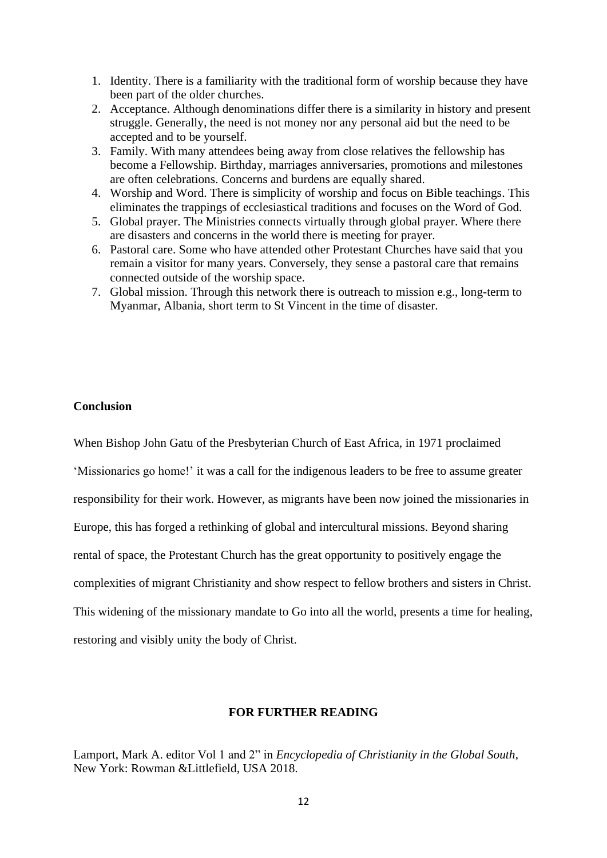- 1. Identity. There is a familiarity with the traditional form of worship because they have been part of the older churches.
- 2. Acceptance. Although denominations differ there is a similarity in history and present struggle. Generally, the need is not money nor any personal aid but the need to be accepted and to be yourself.
- 3. Family. With many attendees being away from close relatives the fellowship has become a Fellowship. Birthday, marriages anniversaries, promotions and milestones are often celebrations. Concerns and burdens are equally shared.
- 4. Worship and Word. There is simplicity of worship and focus on Bible teachings. This eliminates the trappings of ecclesiastical traditions and focuses on the Word of God.
- 5. Global prayer. The Ministries connects virtually through global prayer. Where there are disasters and concerns in the world there is meeting for prayer.
- 6. Pastoral care. Some who have attended other Protestant Churches have said that you remain a visitor for many years. Conversely, they sense a pastoral care that remains connected outside of the worship space.
- 7. Global mission. Through this network there is outreach to mission e.g., long-term to Myanmar, Albania, short term to St Vincent in the time of disaster.

### **Conclusion**

When Bishop John Gatu of the Presbyterian Church of East Africa, in 1971 proclaimed 'Missionaries go home!' it was a call for the indigenous leaders to be free to assume greater responsibility for their work. However, as migrants have been now joined the missionaries in Europe, this has forged a rethinking of global and intercultural missions. Beyond sharing rental of space, the Protestant Church has the great opportunity to positively engage the complexities of migrant Christianity and show respect to fellow brothers and sisters in Christ. This widening of the missionary mandate to Go into all the world, presents a time for healing, restoring and visibly unity the body of Christ.

## **FOR FURTHER READING**

Lamport, Mark A. editor Vol 1 and 2" in *Encyclopedia of Christianity in the Global South*, New York: Rowman &Littlefield, USA 2018.